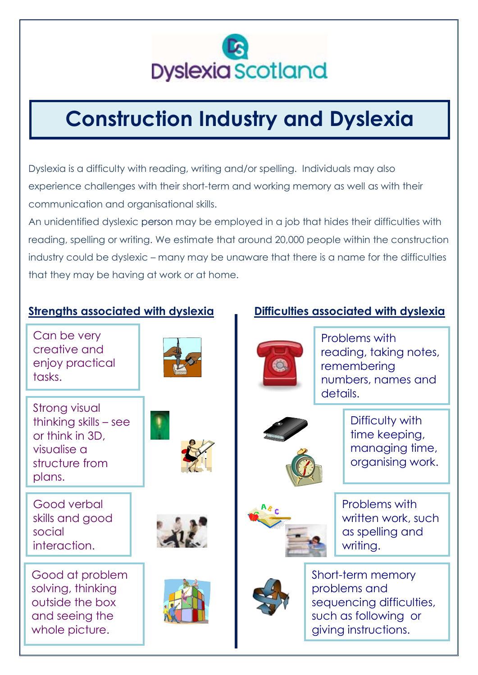

# **Construction Industry and Dyslexia**

Dyslexia is a difficulty with reading, writing and/or spelling. Individuals may also experience challenges with their short-term and working memory as well as with their communication and organisational skills.

An unidentified dyslexic person may be employed in a job that hides their difficulties with reading, spelling or writing. We estimate that around 20,000 people within the construction industry could be dyslexic – many may be unaware that there is a name for the difficulties that they may be having at work or at home.

Can be very creative and enjoy practical tasks.





Good verbal skills and good social interaction.

Good at problem solving, thinking outside the box and seeing the whole picture.





# **Strengths associated with dyslexia Difficulties associated with dyslexia**



Problems with reading, taking notes, remembering numbers, names and details.



Difficulty with time keeping, managing time, organising work.



Problems with written work, such as spelling and writing.



Short-term memory problems and sequencing difficulties, such as following or giving instructions.

rections.